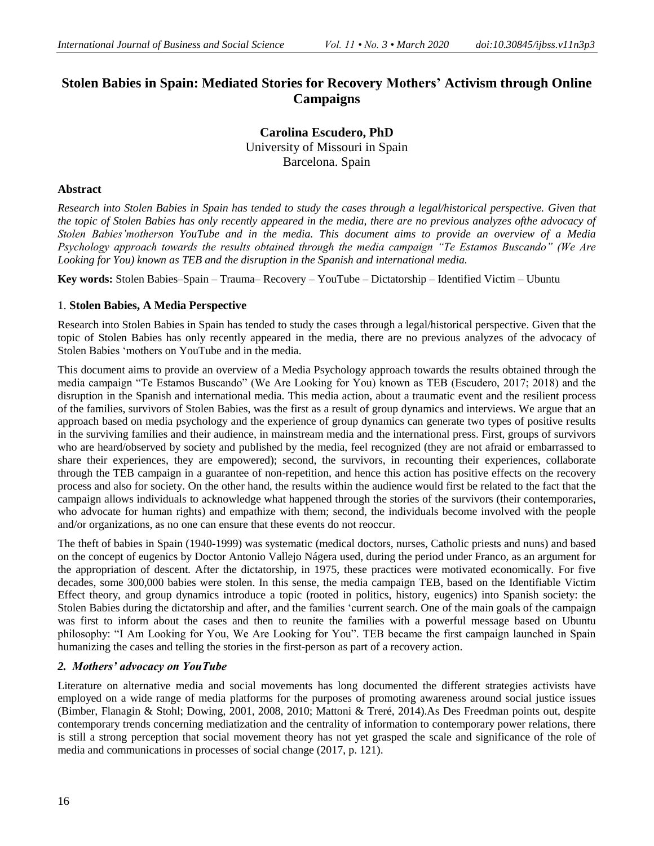# **Stolen Babies in Spain: Mediated Stories for Recovery Mothers' Activism through Online Campaigns**

**Carolina Escudero, PhD**  University of Missouri in Spain Barcelona. Spain

## **Abstract**

*Research into Stolen Babies in Spain has tended to study the cases through a legal/historical perspective. Given that the topic of Stolen Babies has only recently appeared in the media, there are no previous analyzes ofthe advocacy of Stolen Babies'motherson YouTube and in the media. This document aims to provide an overview of a Media Psychology approach towards the results obtained through the media campaign "Te Estamos Buscando" (We Are Looking for You) known as TEB and the disruption in the Spanish and international media.* 

**Key words:** Stolen Babies–Spain – Trauma– Recovery – YouTube – Dictatorship – Identified Victim – Ubuntu

# 1. **Stolen Babies, A Media Perspective**

Research into Stolen Babies in Spain has tended to study the cases through a legal/historical perspective. Given that the topic of Stolen Babies has only recently appeared in the media, there are no previous analyzes of the advocacy of Stolen Babies 'mothers on YouTube and in the media.

This document aims to provide an overview of a Media Psychology approach towards the results obtained through the media campaign "Te Estamos Buscando" (We Are Looking for You) known as TEB (Escudero, 2017; 2018) and the disruption in the Spanish and international media. This media action, about a traumatic event and the resilient process of the families, survivors of Stolen Babies, was the first as a result of group dynamics and interviews. We argue that an approach based on media psychology and the experience of group dynamics can generate two types of positive results in the surviving families and their audience, in mainstream media and the international press. First, groups of survivors who are heard/observed by society and published by the media, feel recognized (they are not afraid or embarrassed to share their experiences, they are empowered); second, the survivors, in recounting their experiences, collaborate through the TEB campaign in a guarantee of non-repetition, and hence this action has positive effects on the recovery process and also for society. On the other hand, the results within the audience would first be related to the fact that the campaign allows individuals to acknowledge what happened through the stories of the survivors (their contemporaries, who advocate for human rights) and empathize with them; second, the individuals become involved with the people and/or organizations, as no one can ensure that these events do not reoccur.

The theft of babies in Spain (1940-1999) was systematic (medical doctors, nurses, Catholic priests and nuns) and based on the concept of eugenics by Doctor Antonio Vallejo Nágera used, during the period under Franco, as an argument for the appropriation of descent. After the dictatorship, in 1975, these practices were motivated economically. For five decades, some 300,000 babies were stolen. In this sense, the media campaign TEB, based on the Identifiable Victim Effect theory, and group dynamics introduce a topic (rooted in politics, history, eugenics) into Spanish society: the Stolen Babies during the dictatorship and after, and the families 'current search. One of the main goals of the campaign was first to inform about the cases and then to reunite the families with a powerful message based on Ubuntu philosophy: "I Am Looking for You, We Are Looking for You". TEB became the first campaign launched in Spain humanizing the cases and telling the stories in the first-person as part of a recovery action.

# *2. Mothers' advocacy on YouTube*

Literature on alternative media and social movements has long documented the different strategies activists have employed on a wide range of media platforms for the purposes of promoting awareness around social justice issues (Bimber, Flanagin & Stohl; Dowing, 2001, 2008, 2010; Mattoni & Treré, 2014).As Des Freedman points out, despite contemporary trends concerning mediatization and the centrality of information to contemporary power relations, there is still a strong perception that social movement theory has not yet grasped the scale and significance of the role of media and communications in processes of social change (2017, p. 121).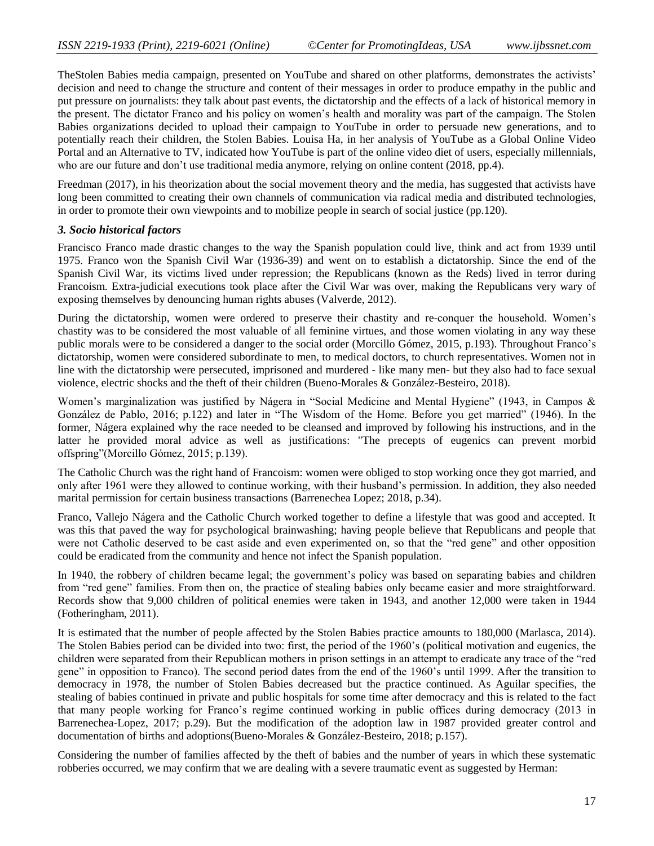TheStolen Babies media campaign, presented on YouTube and shared on other platforms, demonstrates the activists' decision and need to change the structure and content of their messages in order to produce empathy in the public and put pressure on journalists: they talk about past events, the dictatorship and the effects of a lack of historical memory in the present. The dictator Franco and his policy on women's health and morality was part of the campaign. The Stolen Babies organizations decided to upload their campaign to YouTube in order to persuade new generations, and to potentially reach their children, the Stolen Babies. Louisa Ha, in her analysis of YouTube as a Global Online Video Portal and an Alternative to TV, indicated how YouTube is part of the online video diet of users, especially millennials, who are our future and don't use traditional media anymore, relying on online content (2018, pp.4).

Freedman (2017), in his theorization about the social movement theory and the media, has suggested that activists have long been committed to creating their own channels of communication via radical media and distributed technologies, in order to promote their own viewpoints and to mobilize people in search of social justice (pp.120).

#### *3. Socio historical factors*

Francisco Franco made drastic changes to the way the Spanish population could live, think and act from 1939 until 1975. Franco won the Spanish Civil War (1936-39) and went on to establish a dictatorship. Since the end of the Spanish Civil War, its victims lived under repression; the Republicans (known as the Reds) lived in terror during Francoism. Extra-judicial executions took place after the Civil War was over, making the Republicans very wary of exposing themselves by denouncing human rights abuses (Valverde, 2012).

During the dictatorship, women were ordered to preserve their chastity and re-conquer the household. Women's chastity was to be considered the most valuable of all feminine virtues, and those women violating in any way these public morals were to be considered a danger to the social order (Morcillo Gómez, 2015, p.193). Throughout Franco's dictatorship, women were considered subordinate to men, to medical doctors, to church representatives. Women not in line with the dictatorship were persecuted, imprisoned and murdered - like many men- but they also had to face sexual violence, electric shocks and the theft of their children (Bueno-Morales & González-Besteiro, 2018).

Women's marginalization was justified by Nágera in "Social Medicine and Mental Hygiene" (1943, in Campos & González de Pablo, 2016; p.122) and later in "The Wisdom of the Home. Before you get married" (1946). In the former, Nágera explained why the race needed to be cleansed and improved by following his instructions, and in the latter he provided moral advice as well as justifications: "The precepts of eugenics can prevent morbid offspring‖(Morcillo Gómez, 2015; p.139).

The Catholic Church was the right hand of Francoism: women were obliged to stop working once they got married, and only after 1961 were they allowed to continue working, with their husband's permission. In addition, they also needed marital permission for certain business transactions (Barrenechea Lopez; 2018, p.34).

Franco, Vallejo Nágera and the Catholic Church worked together to define a lifestyle that was good and accepted. It was this that paved the way for psychological brainwashing; having people believe that Republicans and people that were not Catholic deserved to be cast aside and even experimented on, so that the "red gene" and other opposition could be eradicated from the community and hence not infect the Spanish population.

In 1940, the robbery of children became legal; the government's policy was based on separating babies and children from "red gene" families. From then on, the practice of stealing babies only became easier and more straightforward. Records show that 9,000 children of political enemies were taken in 1943, and another 12,000 were taken in 1944 (Fotheringham, 2011).

It is estimated that the number of people affected by the Stolen Babies practice amounts to 180,000 (Marlasca, 2014). The Stolen Babies period can be divided into two: first, the period of the 1960's (political motivation and eugenics, the children were separated from their Republican mothers in prison settings in an attempt to eradicate any trace of the "red gene" in opposition to Franco). The second period dates from the end of the 1960's until 1999. After the transition to democracy in 1978, the number of Stolen Babies decreased but the practice continued. As Aguilar specifies, the stealing of babies continued in private and public hospitals for some time after democracy and this is related to the fact that many people working for Franco's regime continued working in public offices during democracy (2013 in Barrenechea-Lopez, 2017; p.29). But the modification of the adoption law in 1987 provided greater control and documentation of births and adoptions(Bueno-Morales & González-Besteiro, 2018; p.157).

Considering the number of families affected by the theft of babies and the number of years in which these systematic robberies occurred, we may confirm that we are dealing with a severe traumatic event as suggested by Herman: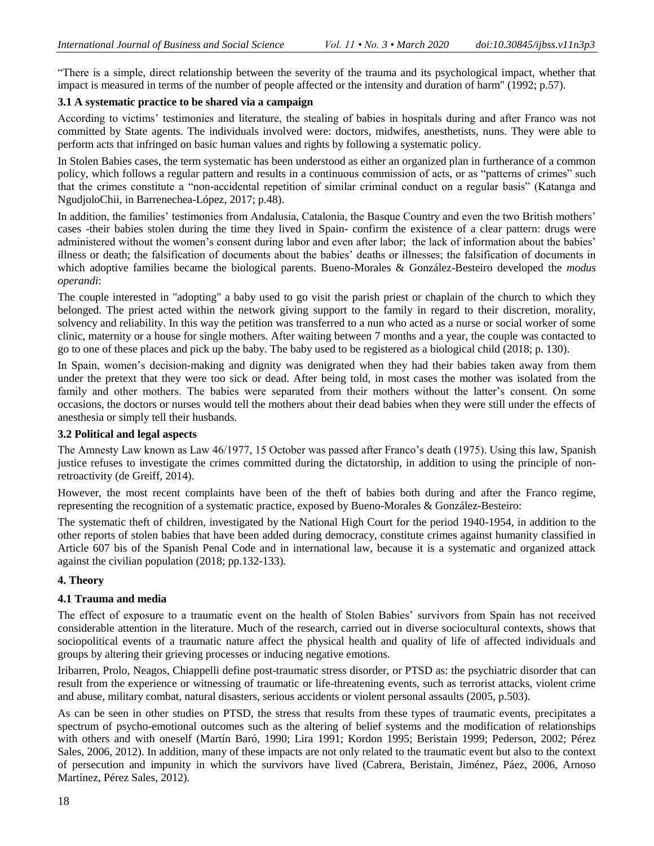―There is a simple, direct relationship between the severity of the trauma and its psychological impact, whether that impact is measured in terms of the number of people affected or the intensity and duration of harm" (1992; p.57).

## **3.1 A systematic practice to be shared via a campaign**

According to victims' testimonies and literature, the stealing of babies in hospitals during and after Franco was not committed by State agents. The individuals involved were: doctors, midwifes, anesthetists, nuns. They were able to perform acts that infringed on basic human values and rights by following a systematic policy.

In Stolen Babies cases, the term systematic has been understood as either an organized plan in furtherance of a common policy, which follows a regular pattern and results in a continuous commission of acts, or as "patterns of crimes" such that the crimes constitute a "non-accidental repetition of similar criminal conduct on a regular basis" (Katanga and NgudjoloChii, in Barrenechea-López, 2017; p.48).

In addition, the families' testimonies from Andalusia, Catalonia, the Basque Country and even the two British mothers' cases -their babies stolen during the time they lived in Spain- confirm the existence of a clear pattern: drugs were administered without the women's consent during labor and even after labor; the lack of information about the babies' illness or death; the falsification of documents about the babies' deaths or illnesses; the falsification of documents in which adoptive families became the biological parents. Bueno-Morales & González-Besteiro developed the *modus operandi*:

The couple interested in "adopting" a baby used to go visit the parish priest or chaplain of the church to which they belonged. The priest acted within the network giving support to the family in regard to their discretion, morality, solvency and reliability. In this way the petition was transferred to a nun who acted as a nurse or social worker of some clinic, maternity or a house for single mothers. After waiting between 7 months and a year, the couple was contacted to go to one of these places and pick up the baby. The baby used to be registered as a biological child (2018; p. 130).

In Spain, women's decision-making and dignity was denigrated when they had their babies taken away from them under the pretext that they were too sick or dead. After being told, in most cases the mother was isolated from the family and other mothers. The babies were separated from their mothers without the latter's consent. On some occasions, the doctors or nurses would tell the mothers about their dead babies when they were still under the effects of anesthesia or simply tell their husbands.

## **3.2 Political and legal aspects**

The Amnesty Law known as Law 46/1977, 15 October was passed after Franco's death (1975). Using this law, Spanish justice refuses to investigate the crimes committed during the dictatorship, in addition to using the principle of nonretroactivity (de Greiff, 2014).

However, the most recent complaints have been of the theft of babies both during and after the Franco regime, representing the recognition of a systematic practice, exposed by Bueno-Morales & González-Besteiro:

The systematic theft of children, investigated by the National High Court for the period 1940-1954, in addition to the other reports of stolen babies that have been added during democracy, constitute crimes against humanity classified in Article 607 bis of the Spanish Penal Code and in international law, because it is a systematic and organized attack against the civilian population (2018; pp.132-133).

## **4. Theory**

## **4.1 Trauma and media**

The effect of exposure to a traumatic event on the health of Stolen Babies' survivors from Spain has not received considerable attention in the literature. Much of the research, carried out in diverse sociocultural contexts, shows that sociopolitical events of a traumatic nature affect the physical health and quality of life of affected individuals and groups by altering their grieving processes or inducing negative emotions.

Iribarren, Prolo, Neagos, Chiappelli define post-traumatic stress disorder, or PTSD as: the psychiatric disorder that can result from the experience or witnessing of traumatic or life-threatening events, such as terrorist attacks, violent crime and abuse, military combat, natural disasters, serious accidents or violent personal assaults (2005, p.503).

As can be seen in other studies on PTSD, the stress that results from these types of traumatic events, precipitates a spectrum of psycho-emotional outcomes such as the altering of belief systems and the modification of relationships with others and with oneself (Martín Baró, 1990; Lira 1991; Kordon 1995; Beristain 1999; Pederson, 2002; Pérez Sales, 2006, 2012). In addition, many of these impacts are not only related to the traumatic event but also to the context of persecution and impunity in which the survivors have lived (Cabrera, Beristain, Jiménez, Páez, 2006, Arnoso Martínez, Pérez Sales, 2012).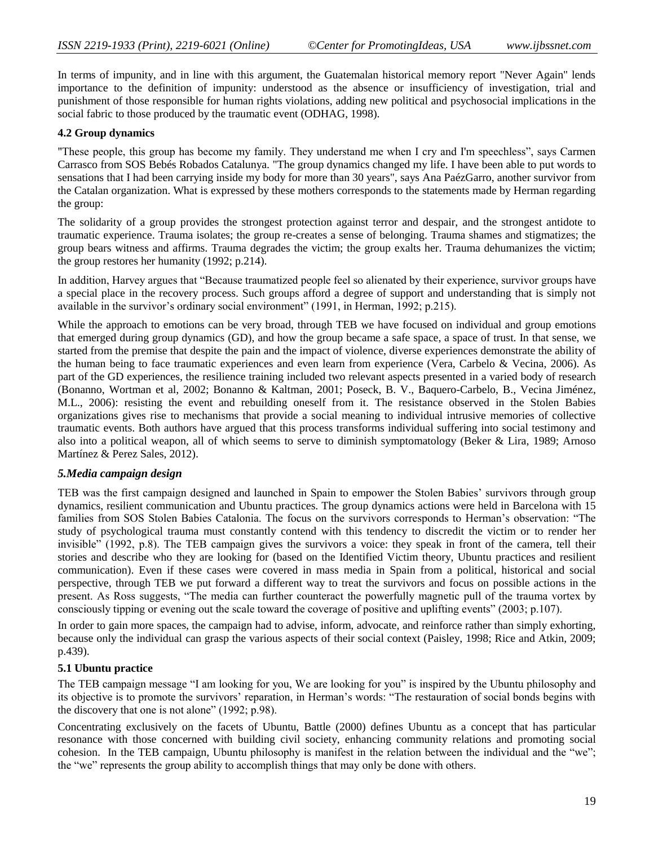In terms of impunity, and in line with this argument, the Guatemalan historical memory report "Never Again" lends importance to the definition of impunity: understood as the absence or insufficiency of investigation, trial and punishment of those responsible for human rights violations, adding new political and psychosocial implications in the social fabric to those produced by the traumatic event (ODHAG, 1998).

#### **4.2 Group dynamics**

"These people, this group has become my family. They understand me when I cry and I'm speechless", says Carmen Carrasco from SOS Bebés Robados Catalunya. "The group dynamics changed my life. I have been able to put words to sensations that I had been carrying inside my body for more than 30 years", says Ana PaézGarro, another survivor from the Catalan organization. What is expressed by these mothers corresponds to the statements made by Herman regarding the group:

The solidarity of a group provides the strongest protection against terror and despair, and the strongest antidote to traumatic experience. Trauma isolates; the group re-creates a sense of belonging. Trauma shames and stigmatizes; the group bears witness and affirms. Trauma degrades the victim; the group exalts her. Trauma dehumanizes the victim; the group restores her humanity (1992; p.214).

In addition, Harvey argues that "Because traumatized people feel so alienated by their experience, survivor groups have a special place in the recovery process. Such groups afford a degree of support and understanding that is simply not available in the survivor's ordinary social environment" (1991, in Herman, 1992; p.215).

While the approach to emotions can be very broad, through TEB we have focused on individual and group emotions that emerged during group dynamics (GD), and how the group became a safe space, a space of trust. In that sense, we started from the premise that despite the pain and the impact of violence, diverse experiences demonstrate the ability of the human being to face traumatic experiences and even learn from experience (Vera, Carbelo & Vecina, 2006). As part of the GD experiences, the resilience training included two relevant aspects presented in a varied body of research (Bonanno, Wortman et al, 2002; Bonanno & Kaltman, 2001; Poseck, B. V., Baquero-Carbelo, B., Vecina Jiménez, M.L., 2006): resisting the event and rebuilding oneself from it. The resistance observed in the Stolen Babies organizations gives rise to mechanisms that provide a social meaning to individual intrusive memories of collective traumatic events. Both authors have argued that this process transforms individual suffering into social testimony and also into a political weapon, all of which seems to serve to diminish symptomatology (Beker & Lira, 1989; Arnoso Martínez & Perez Sales, 2012).

## *5.Media campaign design*

TEB was the first campaign designed and launched in Spain to empower the Stolen Babies' survivors through group dynamics, resilient communication and Ubuntu practices. The group dynamics actions were held in Barcelona with 15 families from SOS Stolen Babies Catalonia. The focus on the survivors corresponds to Herman's observation: "The study of psychological trauma must constantly contend with this tendency to discredit the victim or to render her invisible" (1992, p.8). The TEB campaign gives the survivors a voice: they speak in front of the camera, tell their stories and describe who they are looking for (based on the Identified Victim theory, Ubuntu practices and resilient communication). Even if these cases were covered in mass media in Spain from a political, historical and social perspective, through TEB we put forward a different way to treat the survivors and focus on possible actions in the present. As Ross suggests, "The media can further counteract the powerfully magnetic pull of the trauma vortex by consciously tipping or evening out the scale toward the coverage of positive and uplifting events" (2003; p.107).

In order to gain more spaces, the campaign had to advise, inform, advocate, and reinforce rather than simply exhorting, because only the individual can grasp the various aspects of their social context (Paisley, 1998; Rice and Atkin, 2009; p.439).

#### **5.1 Ubuntu practice**

The TEB campaign message "I am looking for you, We are looking for you" is inspired by the Ubuntu philosophy and its objective is to promote the survivors' reparation, in Herman's words: "The restauration of social bonds begins with the discovery that one is not alone"  $(1992; p.98)$ .

Concentrating exclusively on the facets of Ubuntu, Battle (2000) defines Ubuntu as a concept that has particular resonance with those concerned with building civil society, enhancing community relations and promoting social cohesion. In the TEB campaign, Ubuntu philosophy is manifest in the relation between the individual and the "we"; the "we" represents the group ability to accomplish things that may only be done with others.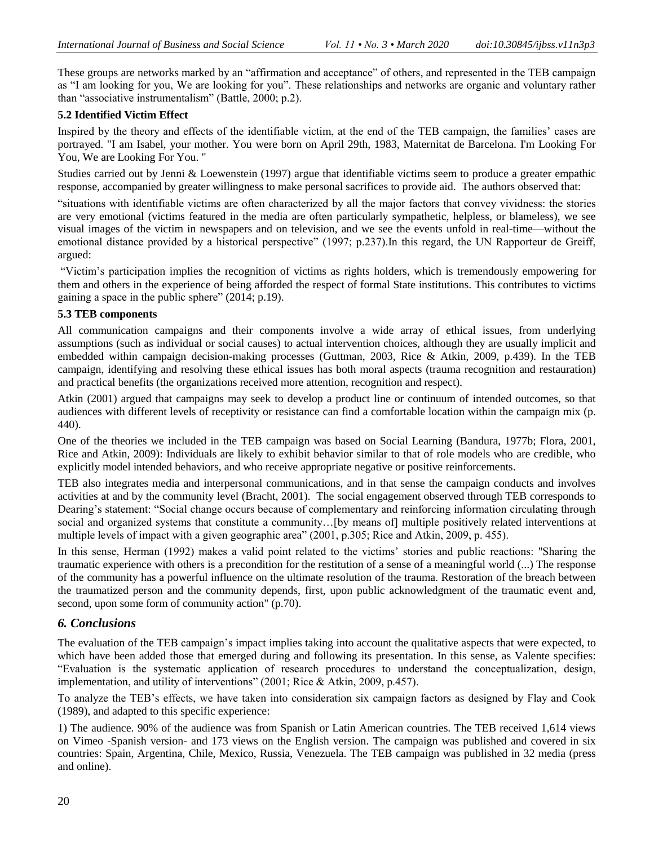These groups are networks marked by an "affirmation and acceptance" of others, and represented in the TEB campaign as "I am looking for you, We are looking for you". These relationships and networks are organic and voluntary rather than "associative instrumentalism" (Battle,  $2000$ ; p.2).

## **5.2 Identified Victim Effect**

Inspired by the theory and effects of the identifiable victim, at the end of the TEB campaign, the families' cases are portrayed. "I am Isabel, your mother. You were born on April 29th, 1983, Maternitat de Barcelona. I'm Looking For You, We are Looking For You. "

Studies carried out by Jenni & Loewenstein (1997) argue that identifiable victims seem to produce a greater empathic response, accompanied by greater willingness to make personal sacrifices to provide aid. The authors observed that:

―situations with identifiable victims are often characterized by all the major factors that convey vividness: the stories are very emotional (victims featured in the media are often particularly sympathetic, helpless, or blameless), we see visual images of the victim in newspapers and on television, and we see the events unfold in real-time—without the emotional distance provided by a historical perspective" (1997; p.237). In this regard, the UN Rapporteur de Greiff, argued:

―Victim's participation implies the recognition of victims as rights holders, which is tremendously empowering for them and others in the experience of being afforded the respect of formal State institutions. This contributes to victims gaining a space in the public sphere" (2014; p.19).

#### **5.3 TEB components**

All communication campaigns and their components involve a wide array of ethical issues, from underlying assumptions (such as individual or social causes) to actual intervention choices, although they are usually implicit and embedded within campaign decision-making processes (Guttman, 2003, Rice & Atkin, 2009, p.439). In the TEB campaign, identifying and resolving these ethical issues has both moral aspects (trauma recognition and restauration) and practical benefits (the organizations received more attention, recognition and respect).

Atkin (2001) argued that campaigns may seek to develop a product line or continuum of intended outcomes, so that audiences with different levels of receptivity or resistance can find a comfortable location within the campaign mix (p. 440).

One of the theories we included in the TEB campaign was based on Social Learning (Bandura, 1977b; Flora, 2001, Rice and Atkin, 2009): Individuals are likely to exhibit behavior similar to that of role models who are credible, who explicitly model intended behaviors, and who receive appropriate negative or positive reinforcements.

TEB also integrates media and interpersonal communications, and in that sense the campaign conducts and involves activities at and by the community level (Bracht, 2001). The social engagement observed through TEB corresponds to Dearing's statement: "Social change occurs because of complementary and reinforcing information circulating through social and organized systems that constitute a community...[by means of] multiple positively related interventions at multiple levels of impact with a given geographic area" (2001, p.305; Rice and Atkin, 2009, p. 455).

In this sense, Herman (1992) makes a valid point related to the victims' stories and public reactions: "Sharing the traumatic experience with others is a precondition for the restitution of a sense of a meaningful world (...) The response of the community has a powerful influence on the ultimate resolution of the trauma. Restoration of the breach between the traumatized person and the community depends, first, upon public acknowledgment of the traumatic event and, second, upon some form of community action" (p.70).

# *6. Conclusions*

The evaluation of the TEB campaign's impact implies taking into account the qualitative aspects that were expected, to which have been added those that emerged during and following its presentation. In this sense, as Valente specifies: ―Evaluation is the systematic application of research procedures to understand the conceptualization, design, implementation, and utility of interventions" (2001; Rice  $\&$  Atkin, 2009, p.457).

To analyze the TEB's effects, we have taken into consideration six campaign factors as designed by Flay and Cook (1989), and adapted to this specific experience:

1) The audience. 90% of the audience was from Spanish or Latin American countries. The TEB received 1,614 views on Vimeo -Spanish version- and 173 views on the English version. The campaign was published and covered in six countries: Spain, Argentina, Chile, Mexico, Russia, Venezuela. The TEB campaign was published in 32 media (press and online).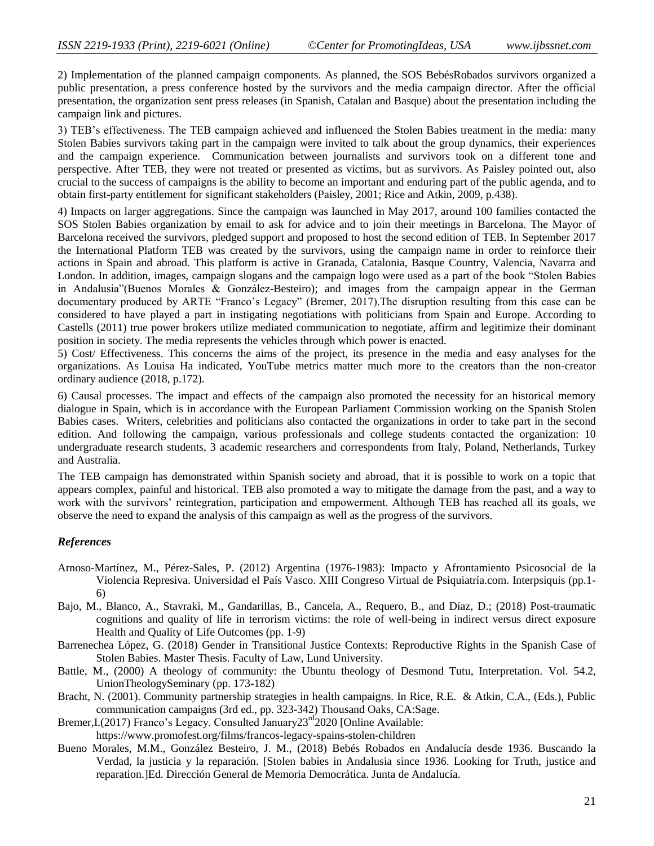2) Implementation of the planned campaign components. As planned, the SOS BebésRobados survivors organized a public presentation, a press conference hosted by the survivors and the media campaign director. After the official presentation, the organization sent press releases (in Spanish, Catalan and Basque) about the presentation including the campaign link and pictures.

3) TEB's effectiveness. The TEB campaign achieved and influenced the Stolen Babies treatment in the media: many Stolen Babies survivors taking part in the campaign were invited to talk about the group dynamics, their experiences and the campaign experience. Communication between journalists and survivors took on a different tone and perspective. After TEB, they were not treated or presented as victims, but as survivors. As Paisley pointed out, also crucial to the success of campaigns is the ability to become an important and enduring part of the public agenda, and to obtain first-party entitlement for significant stakeholders (Paisley, 2001; Rice and Atkin, 2009, p.438).

4) Impacts on larger aggregations. Since the campaign was launched in May 2017, around 100 families contacted the SOS Stolen Babies organization by email to ask for advice and to join their meetings in Barcelona. The Mayor of Barcelona received the survivors, pledged support and proposed to host the second edition of TEB. In September 2017 the International Platform TEB was created by the survivors, using the campaign name in order to reinforce their actions in Spain and abroad. This platform is active in Granada, Catalonia, Basque Country, Valencia, Navarra and London. In addition, images, campaign slogans and the campaign logo were used as a part of the book "Stolen Babies" in Andalusia"(Buenos Morales & González-Besteiro); and images from the campaign appear in the German documentary produced by ARTE "Franco's Legacy" (Bremer, 2017). The disruption resulting from this case can be considered to have played a part in instigating negotiations with politicians from Spain and Europe. According to Castells (2011) true power brokers utilize mediated communication to negotiate, affirm and legitimize their dominant position in society. The media represents the vehicles through which power is enacted.

5) Cost/ Effectiveness. This concerns the aims of the project, its presence in the media and easy analyses for the organizations. As Louisa Ha indicated, YouTube metrics matter much more to the creators than the non-creator ordinary audience (2018, p.172).

6) Causal processes. The impact and effects of the campaign also promoted the necessity for an historical memory dialogue in Spain, which is in accordance with the European Parliament Commission working on the Spanish Stolen Babies cases. Writers, celebrities and politicians also contacted the organizations in order to take part in the second edition. And following the campaign, various professionals and college students contacted the organization: 10 undergraduate research students, 3 academic researchers and correspondents from Italy, Poland, Netherlands, Turkey and Australia.

The TEB campaign has demonstrated within Spanish society and abroad, that it is possible to work on a topic that appears complex, painful and historical. TEB also promoted a way to mitigate the damage from the past, and a way to work with the survivors' reintegration, participation and empowerment. Although TEB has reached all its goals, we observe the need to expand the analysis of this campaign as well as the progress of the survivors.

#### *References*

- Arnoso-Martínez, M., Pérez-Sales, P. (2012) Argentina (1976-1983): Impacto y Afrontamiento Psicosocial de la Violencia Represiva. Universidad el País Vasco. XIII Congreso Virtual de Psiquiatría.com. Interpsiquis (pp.1- 6)
- Bajo, M., Blanco, A., Stavraki, M., Gandarillas, B., Cancela, A., Requero, B., and Díaz, D.; (2018) Post-traumatic cognitions and quality of life in terrorism victims: the role of well-being in indirect versus direct exposure Health and Quality of Life Outcomes (pp. 1-9)
- Barrenechea López, G. (2018) Gender in Transitional Justice Contexts: Reproductive Rights in the Spanish Case of Stolen Babies. Master Thesis. Faculty of Law, Lund University.
- Battle, M., (2000) A theology of community: the Ubuntu theology of Desmond Tutu, Interpretation. Vol. 54.2, UnionTheologySeminary (pp. 173-182)
- Bracht, N. (2001). Community partnership strategies in health campaigns. In Rice, R.E. & Atkin, C.A., (Eds.), Public communication campaigns (3rd ed., pp. 323-342) Thousand Oaks, CA:Sage.
- Bremer, I. (2017) Franco's Legacy. Consulted January 23<sup>rd</sup> 2020 [Online Available: https://www.promofest.org/films/francos-legacy-spains-stolen-children
- Bueno Morales, M.M., González Besteiro, J. M., (2018) Bebés Robados en Andalucía desde 1936. Buscando la Verdad, la justicia y la reparación. [Stolen babies in Andalusia since 1936. Looking for Truth, justice and reparation.]Ed. Dirección General de Memoria Democrática. Junta de Andalucía.